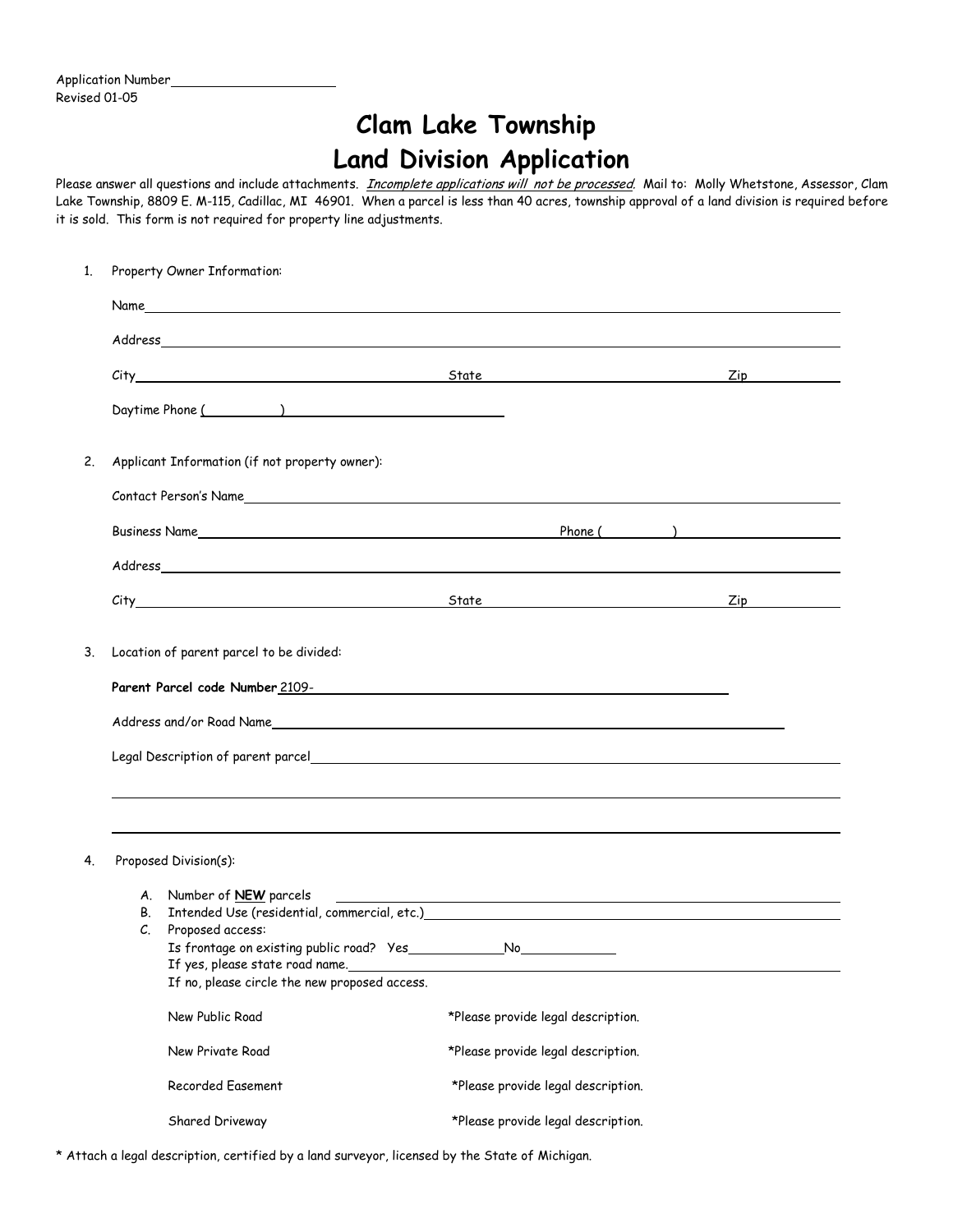Application Number Revised 01-05

## **Clam Lake Township Land Division Application**

Please answer all questions and include attachments. *Incomplete applications will not be processed*. Mail to: Molly Whetstone, Assessor, Clam Lake Township, 8809 E. M-115, Cadillac, MI 46901. When a parcel is less than 40 acres, township approval of a land division is required before it is sold. This form is not required for property line adjustments.

| 1.                                                                                                                | Property Owner Information:                                                                                                                                                                                                    |                                                                                                                                                      |                                                                                                                        |                                                                                                                |  |  |  |
|-------------------------------------------------------------------------------------------------------------------|--------------------------------------------------------------------------------------------------------------------------------------------------------------------------------------------------------------------------------|------------------------------------------------------------------------------------------------------------------------------------------------------|------------------------------------------------------------------------------------------------------------------------|----------------------------------------------------------------------------------------------------------------|--|--|--|
|                                                                                                                   | Name and the state of the state of the state of the state of the state of the state of the state of the state of the state of the state of the state of the state of the state of the state of the state of the state of the s |                                                                                                                                                      |                                                                                                                        |                                                                                                                |  |  |  |
|                                                                                                                   |                                                                                                                                                                                                                                |                                                                                                                                                      |                                                                                                                        |                                                                                                                |  |  |  |
|                                                                                                                   |                                                                                                                                                                                                                                |                                                                                                                                                      |                                                                                                                        | Zip and the set of the set of the set of the set of the set of the set of the set of the set of the set of the |  |  |  |
|                                                                                                                   |                                                                                                                                                                                                                                | Daytime Phone ( )                                                                                                                                    |                                                                                                                        |                                                                                                                |  |  |  |
| 2.                                                                                                                | Applicant Information (if not property owner):                                                                                                                                                                                 |                                                                                                                                                      |                                                                                                                        |                                                                                                                |  |  |  |
|                                                                                                                   |                                                                                                                                                                                                                                |                                                                                                                                                      |                                                                                                                        |                                                                                                                |  |  |  |
|                                                                                                                   | Phone $(\_\_)$<br>Business Name                                                                                                                                                                                                |                                                                                                                                                      |                                                                                                                        |                                                                                                                |  |  |  |
|                                                                                                                   |                                                                                                                                                                                                                                |                                                                                                                                                      |                                                                                                                        |                                                                                                                |  |  |  |
|                                                                                                                   |                                                                                                                                                                                                                                |                                                                                                                                                      |                                                                                                                        | Zip and the state of the state of the state of the state of the state of the state of the state of the state o |  |  |  |
| 3.                                                                                                                | Location of parent parcel to be divided:                                                                                                                                                                                       |                                                                                                                                                      |                                                                                                                        |                                                                                                                |  |  |  |
|                                                                                                                   |                                                                                                                                                                                                                                |                                                                                                                                                      |                                                                                                                        |                                                                                                                |  |  |  |
| 4.                                                                                                                | Proposed Division(s):                                                                                                                                                                                                          |                                                                                                                                                      |                                                                                                                        |                                                                                                                |  |  |  |
|                                                                                                                   |                                                                                                                                                                                                                                | A. Number of NEW parcels                                                                                                                             | <u> 1989 - Johann Stoff, deutscher Stoffen und der Stoffen und der Stoffen und der Stoffen und der Stoffen und der</u> |                                                                                                                |  |  |  |
|                                                                                                                   | B.<br>C.                                                                                                                                                                                                                       | Intended Use (residential, commercial, etc.)<br>Proposed access:<br>If yes, please state road name.<br>If no, please circle the new proposed access. |                                                                                                                        |                                                                                                                |  |  |  |
|                                                                                                                   |                                                                                                                                                                                                                                | New Public Road                                                                                                                                      | *Please provide legal description.                                                                                     |                                                                                                                |  |  |  |
| *Please provide legal description.<br>New Private Road<br>Recorded Easement<br>*Please provide legal description. |                                                                                                                                                                                                                                |                                                                                                                                                      |                                                                                                                        |                                                                                                                |  |  |  |
|                                                                                                                   |                                                                                                                                                                                                                                |                                                                                                                                                      |                                                                                                                        |                                                                                                                |  |  |  |
|                                                                                                                   |                                                                                                                                                                                                                                | Shared Driveway                                                                                                                                      | *Please provide legal description.                                                                                     |                                                                                                                |  |  |  |

\* Attach a legal description, certified by a land surveyor, licensed by the State of Michigan.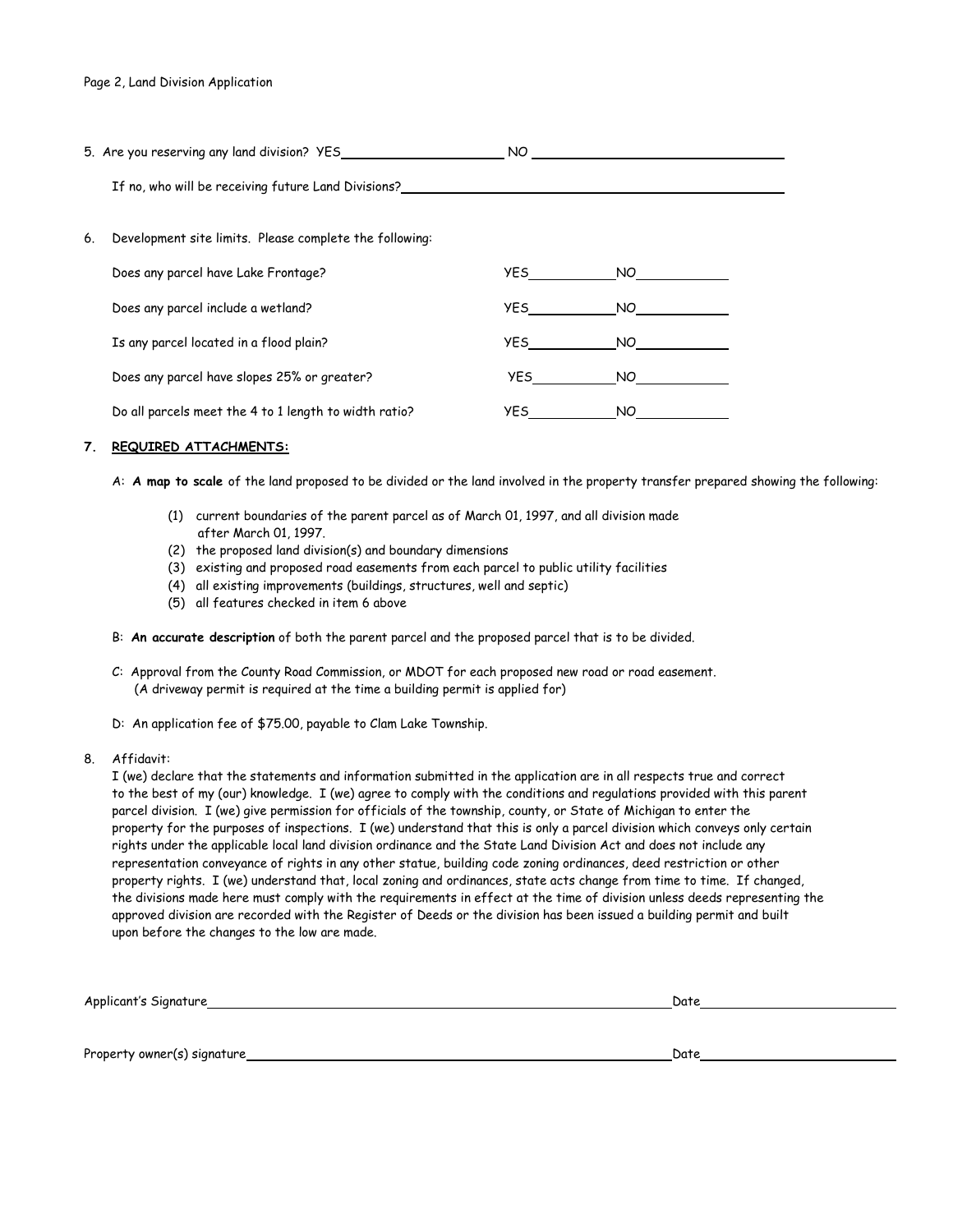|    | 5. Are you reserving any land division? YES             | NO.        |     |  |
|----|---------------------------------------------------------|------------|-----|--|
|    | If no, who will be receiving future Land Divisions?     |            |     |  |
| 6. | Development site limits. Please complete the following: |            |     |  |
|    | Does any parcel have Lake Frontage?                     | <b>YES</b> | NO. |  |
|    | Does any parcel include a wetland?                      | <b>YES</b> | NO. |  |
|    | Is any parcel located in a flood plain?                 | <b>YES</b> | NO. |  |
|    | Does any parcel have slopes 25% or greater?             | YES 1      | NO. |  |
|    | Do all parcels meet the 4 to 1 length to width ratio?   | YES.       | NO. |  |

## **7. REQUIRED ATTACHMENTS:**

A: **A map to scale** of the land proposed to be divided or the land involved in the property transfer prepared showing the following:

- (1) current boundaries of the parent parcel as of March 01, 1997, and all division made after March 01, 1997.
- (2) the proposed land division(s) and boundary dimensions
- (3) existing and proposed road easements from each parcel to public utility facilities
- (4) all existing improvements (buildings, structures, well and septic)
- (5) all features checked in item 6 above
- B: **An accurate description** of both the parent parcel and the proposed parcel that is to be divided.
- C: Approval from the County Road Commission, or MDOT for each proposed new road or road easement. (A driveway permit is required at the time a building permit is applied for)
- D: An application fee of \$75.00, payable to Clam Lake Township.
- 8. Affidavit:

I (we) declare that the statements and information submitted in the application are in all respects true and correct to the best of my (our) knowledge. I (we) agree to comply with the conditions and regulations provided with this parent parcel division. I (we) give permission for officials of the township, county, or State of Michigan to enter the property for the purposes of inspections. I (we) understand that this is only a parcel division which conveys only certain rights under the applicable local land division ordinance and the State Land Division Act and does not include any representation conveyance of rights in any other statue, building code zoning ordinances, deed restriction or other property rights. I (we) understand that, local zoning and ordinances, state acts change from time to time. If changed, the divisions made here must comply with the requirements in effect at the time of division unless deeds representing the approved division are recorded with the Register of Deeds or the division has been issued a building permit and built upon before the changes to the low are made.

| Sianature<br>Abblican,  | Date |
|-------------------------|------|
| the control of the con- |      |

Property owner(s) signature Date